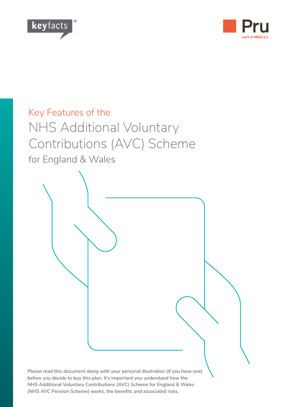



# Key Features of the NHS Additional Voluntary Contributions (AVC) Scheme for England & Wales

**Please read this document along with your personal illustration (if you have one) before you decide to buy this plan. It's important you understand how the** 

**NHS Additional Voluntary Contributions (AVC) Scheme for England & Wales** 

**(NHS AVC Pension Scheme) works, the benefits and associated risks.**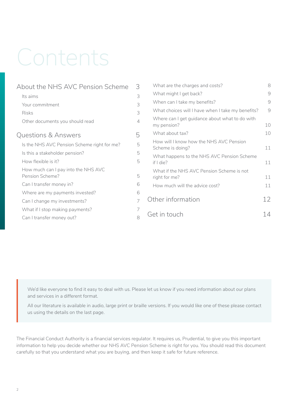# Contents

| About the NHS AVC Pension Scheme                       | 3 |  |
|--------------------------------------------------------|---|--|
| Its aims                                               | 3 |  |
| Your commitment                                        | 3 |  |
| Risks                                                  | 3 |  |
| Other documents you should read                        | 4 |  |
| Questions & Answers                                    | 5 |  |
| Is the NHS AVC Pension Scheme right for me?            | 5 |  |
| Is this a stakeholder pension?                         | 5 |  |
| How flexible is it?                                    | 5 |  |
| How much can I pay into the NHS AVC<br>Pension Scheme? | 5 |  |
| Can I transfer money in?                               | 6 |  |
| Where are my payments invested?                        | 6 |  |
| Can I change my investments?                           | 7 |  |
| What if I stop making payments?                        | 7 |  |
| Can I transfer money out?                              | 8 |  |

| What are the charges and costs?                               | 8  |
|---------------------------------------------------------------|----|
| What might I get back?                                        | 9  |
| When can I take my benefits?                                  | 9  |
| What choices will I have when I take my benefits?             | 9  |
| Where can I get guidance about what to do with<br>my pension? | 10 |
| What about tax?                                               | 10 |
| How will I know how the NHS AVC Pension<br>Scheme is doing?   | 11 |
| What happens to the NHS AVC Pension Scheme<br>if $ $ die?     | 11 |
| What if the NHS AVC Pension Scheme is not<br>right for me?    | 11 |
| How much will the advice cost?                                | 11 |
| Other information                                             | 12 |
| Get in touch                                                  |    |

We'd like everyone to find it easy to deal with us. Please let us know if you need information about our plans and services in a different format.

All our literature is available in audio, large print or braille versions. If you would like one of these please contact us using the details on the last page.

The Financial Conduct Authority is a financial services regulator. It requires us, Prudential, to give you this important information to help you decide whether our NHS AVC Pension Scheme is right for you. You should read this document carefully so that you understand what you are buying, and then keep it safe for future reference.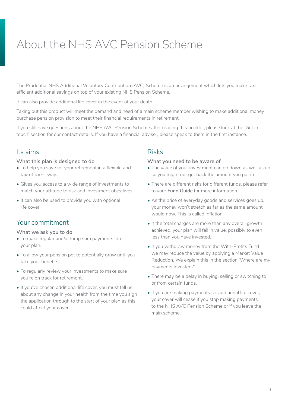# <span id="page-2-0"></span>About the NHS AVC Pension Scheme

The Prudential NHS Additional Voluntary Contribution (AVC) Scheme is an arrangement which lets you make taxefficient additional savings on top of your existing NHS Pension Scheme.

It can also provide additional life cover in the event of your death.

Taking out this product will meet the demand and need of a main scheme member wishing to make additional money purchase pension provision to meet their financial requirements in retirement.

If you still have questions about the NHS AVC Pension Scheme after reading this booklet, please look at the 'Get in touch' section for our contact details. If you have a financial adviser, please speak to them in the first instance.

# Its aims

#### **What this plan is designed to do**

- To help you save for your retirement in a flexible and tax-efficient way.
- Gives you access to a wide range of investments to match your attitude to risk and investment objectives.
- It can also be used to provide you with optional life cover.

## Your commitment

#### **What we ask you to do**

- To make regular and/or lump sum payments into your plan.
- To allow your pension pot to potentially grow until you take your benefits.
- To regularly review your investments to make sure you're on track for retirement.
- If you've chosen additional life cover, you must tell us about any change in your health from the time you sign the application through to the start of your plan as this could affect your cover.

### Risks

#### **What you need to be aware of**

- The value of your investment can go down as well as up so you might not get back the amount you put in
- There are different risks for different funds, please refer to your **Fund Guide** for more information.
- As the price of everyday goods and services goes up, your money won't stretch as far as the same amount would now. This is called inflation.
- If the total charges are more than any overall growth achieved, your plan will fall in value, possibly to even less than you have invested.
- If you withdraw money from the With-Profits Fund we may reduce the value by applying a Market Value Reduction. We explain this in the section 'Where are my payments invested?'.
- There may be a delay in buying, selling or switching to or from certain funds.
- If you are making payments for additional life cover, your cover will cease if you stop making payments to the NHS AVC Pension Scheme or if you leave the main scheme.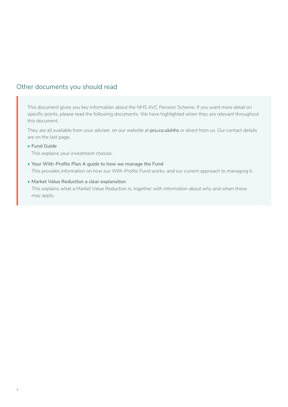# <span id="page-3-0"></span>Other documents you should read

This document gives you key information about the NHS AVC Pension Scheme. If you want more detail on specific points, please read the following documents. We have highlighted when they are relevant throughout this document.

They are all available from your adviser, on our website at **[pru.co.uk/nhs](https://www.pru.co.uk/rz/nhs/?utm_source=redirect&utm_medium=301&utm_campaign=/nhs)** or direct from us. Our contact details are on the last page.

**• Fund Guide**

This explains your investment choices.

- **• Your With-Profits Plan A guide to how we manage the Fund** This provides information on how our With-Profits Fund works, and our current approach to managing it.
- **• Market Value Reduction a clear explanation**

This explains what a Market Value Reduction is, together with information about why and when these may apply.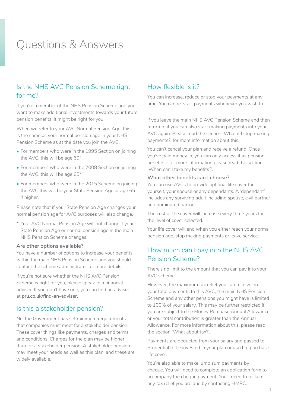# <span id="page-4-0"></span>Questions & Answers

# Is the NHS AVC Pension Scheme right for me?

If you're a member of the NHS Pension Scheme and you want to make additional investments towards your future pension benefits, it might be right for you.

When we refer to your AVC Normal Pension Age, this is the same as your normal pension age in your NHS Pension Scheme as at the date you join the AVC.

- For members who were in the 1995 Section on joining the AVC, this will be age 60\*
- For members who were in the 2008 Section on joining the AVC, this will be age 65\*
- For members who were in the 2015 Scheme on joining the AVC this will be your State Pension Age or age 65 if higher.

Please note that if your State Pension Age changes your normal pension age for AVC purposes will also change.

\* Your AVC Normal Pension Age will not change if your State Pension Age or normal pension age in the main NHS Pension Scheme changes.

#### **Are other options available?**

You have a number of options to increase your benefits within the main NHS Pension Scheme and you should contact the scheme administrator for more details.

If you're not sure whether the NHS AVC Pension Scheme is right for you, please speak to a financial adviser. If you don't have one, you can find an adviser at **[pru.co.uk/find-an-adviser](https://www.pru.co.uk/find-an-adviser)**.

#### Is this a stakeholder pension?

No, the Government has set minimum requirements that companies must meet for a stakeholder pension. These cover things like payments, charges and terms and conditions. Charges for the plan may be higher than for a stakeholder pension. A stakeholder pension may meet your needs as well as this plan, and these are widely available.

### How flexible is it?

You can increase, reduce or stop your payments at any time. You can re-start payments whenever you wish to.

If you leave the main NHS AVC Pension Scheme and then return to it you can also start making payments into your AVC again. Please read the section 'What if I stop making payments?' for more information about this.

You can't cancel your plan and receive a refund. Once you've paid money in, you can only access it as pension benefits – for more information please read the section 'When can I take my benefits?'.

#### **What other benefits can I choose?**

You can use AVCs to provide optional life cover for yourself, your spouse or any dependants. A 'dependant' includes any surviving adult including spouse, civil partner and nominated partner.

The cost of the cover will increase every three years for the level of cover selected.

Your life cover will end when you either reach your normal pension age, stop making payments or leave service.

# How much can I pay into the NHS AVC Pension Scheme?

There's no limit to the amount that you can pay into your AVC scheme.

However, the maximum tax relief you can receive on your total payments to this AVC, the main NHS Pension Scheme and any other pensions you might have is limited to 100% of your salary. This may be further restricted if you are subject to the Money Purchase Annual Allowance, or your total contribution is greater than the Annual Allowance. For more information about this, please read the section 'What about tax?'.

Payments are deducted from your salary and passed to Prudential to be invested in your plan or used to purchase life cover.

You're also able to make lump sum payments by cheque. You will need to complete an application form to accompany the cheque payment. You'll need to reclaim any tax relief you are due by contacting HMRC.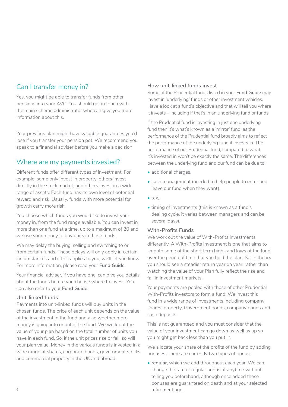# <span id="page-5-0"></span>Can I transfer money in?

Yes, you might be able to transfer funds from other pensions into your AVC. You should get in touch with the main scheme administrator who can give you more information about this.

Your previous plan might have valuable guarantees you'd lose if you transfer your pension pot. We recommend you speak to a financial adviser before you make a decision

# Where are my payments invested?

Different funds offer different types of investment. For example, some only invest in property, others invest directly in the stock market, and others invest in a wide range of assets. Each fund has its own level of potential reward and risk. Usually, funds with more potential for growth carry more risk.

You choose which funds you would like to invest your money in, from the fund range available. You can invest in more than one fund at a time, up to a maximum of 20 and we use your money to buy units in those funds.

We may delay the buying, selling and switching to or from certain funds. These delays will only apply in certain circumstances and if this applies to you, we'll let you know. For more information, please read your **Fund Guide**.

Your financial adviser, if you have one, can give you details about the funds before you choose where to invest. You can also refer to your **Fund Guide**.

#### **Unit-linked funds**

Payments into unit-linked funds will buy units in the chosen funds. The price of each unit depends on the value of the investment in the fund and also whether more money is going into or out of the fund. We work out the value of your plan based on the total number of units you have in each fund. So, if the unit prices rise or fall, so will your plan value. Money in the various funds is invested in a wide range of shares, corporate bonds, government stocks and commercial property in the UK and abroad.

#### **How unit-linked funds invest**

Some of the Prudential funds listed in your **Fund Guide** may invest in 'underlying' funds or other investment vehicles. Have a look at a fund's objective and that will tell you where it invests – including if that's in an underlying fund or funds.

If the Prudential fund is investing in just one underlying fund then it's what's known as a 'mirror' fund, as the performance of the Prudential fund broadly aims to reflect the performance of the underlying fund it invests in. The performance of our Prudential fund, compared to what it's invested in won't be exactly the same. The differences between the underlying fund and our fund can be due to:

- additional charges,
- cash management (needed to help people to enter and leave our fund when they want),
- $\bullet$  tax.
- timing of investments (this is known as a fund's dealing cycle, it varies between managers and can be several days).

#### **With-Profits Funds**

We work out the value of With-Profits investments differently. A With-Profits investment is one that aims to smooth some of the short term highs and lows of the fund over the period of time that you hold the plan. So, in theory you should see a steadier return year on year, rather than watching the value of your Plan fully reflect the rise and fall in investment markets.

Your payments are pooled with those of other Prudential With-Profits investors to form a fund. We invest this fund in a wide range of investments including company shares, property, Government bonds, company bonds and cash deposits.

This is not guaranteed and you must consider that the value of your investment can go down as well as up so you might get back less than you put in.

We allocate your share of the profits of the fund by adding bonuses. There are currently two types of bonus:

• **regular**, which we add throughout each year. We can change the rate of regular bonus at anytime without telling you beforehand, although once added these bonuses are guaranteed on death and at your selected retirement age,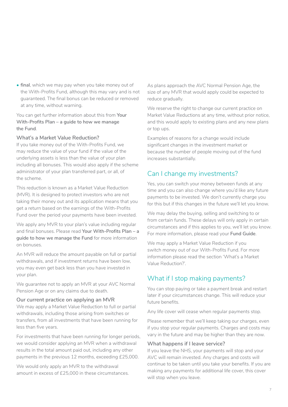<span id="page-6-0"></span>• **final**, which we may pay when you take money out of the With-Profits Fund, although this may vary and is not guaranteed. The final bonus can be reduced or removed at any time, without warning.

You can get further information about this from **Your With-Profits Plan – a guide to how we manage the Fund**.

#### **What's a Market Value Reduction?**

If you take money out of the With-Profits Fund, we may reduce the value of your fund if the value of the underlying assets is less than the value of your plan including all bonuses. This would also apply if the scheme administrator of your plan transferred part, or all, of the scheme.

This reduction is known as a Market Value Reduction (MVR). It is designed to protect investors who are not taking their money out and its application means that you get a return based on the earnings of the With-Profits Fund over the period your payments have been invested.

We apply any MVR to your plan's value including regular and final bonuses. Please read **Your With-Profits Plan – a guide to how we manage the Fund** for more information on bonuses.

An MVR will reduce the amount payable on full or partial withdrawals, and if investment returns have been low, you may even get back less than you have invested in your plan.

We guarantee not to apply an MVR at your AVC Normal Pension Age or on any claims due to death.

#### **Our current practice on applying an MVR**

We may apply a Market Value Reduction to full or partial withdrawals, including those arising from switches or transfers, from all investments that have been running for less than five years.

For investments that have been running for longer periods, we would consider applying an MVR when a withdrawal results in the total amount paid out, including any other payments in the previous 12 months, exceeding £25,000.

We would only apply an MVR to the withdrawal amount in excess of £25,000 in these circumstances. As plans approach the AVC Normal Pension Age, the size of any MVR that would apply could be expected to reduce gradually.

We reserve the right to change our current practice on Market Value Reductions at any time, without prior notice, and this would apply to existing plans and any new plans or top ups.

Examples of reasons for a change would include significant changes in the investment market or because the number of people moving out of the fund increases substantially.

# Can I change my investments?

Yes, you can switch your money between funds at any time and you can also change where you'd like any future payments to be invested. We don't currently charge you for this but if this changes in the future we'll let you know.

We may delay the buying, selling and switching to or from certain funds. These delays will only apply in certain circumstances and if this applies to you, we'll let you know. For more information, please read your **Fund Guide**.

We may apply a Market Value Reduction if you switch money out of our With-Profits Fund. For more information please read the section 'What's a Market Value Reduction?'.

# What if I stop making payments?

You can stop paying or take a payment break and restart later if your circumstances change. This will reduce your future benefits.

Any life cover will cease when regular payments stop.

Please remember that we'll keep taking our charges, even if you stop your regular payments. Charges and costs may vary in the future and may be higher than they are now.

#### **What happens if I leave service?**

If you leave the NHS, your payments will stop and your AVC will remain invested. Any charges and costs will continue to be taken until you take your benefits. If you are making any payments for additional life cover, this cover will stop when you leave.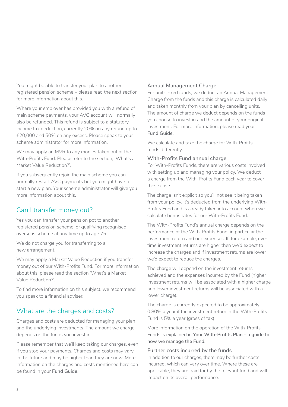<span id="page-7-0"></span>You might be able to transfer your plan to another registered pension scheme – please read the next section for more information about this.

Where your employer has provided you with a refund of main scheme payments, your AVC account will normally also be refunded. This refund is subject to a statutory income tax deduction, currently 20% on any refund up to £20,000 and 50% on any excess. Please speak to your scheme administrator for more information.

We may apply an MVR to any monies taken out of the With-Profits Fund. Please refer to the section, 'What's a Market Value Reduction?'.

If you subsequently rejoin the main scheme you can normally restart AVC payments but you might have to start a new plan. Your scheme administrator will give you more information about this.

# Can I transfer money out?

Yes you can transfer your pension pot to another registered pension scheme, or qualifying recognised overseas scheme at any time up to age 75.

We do not charge you for transferring to a new arrangement.

We may apply a Market Value Reduction if you transfer money out of our With-Profits Fund. For more information about this, please read the section 'What's a Market Value Reduction?'.

To find more information on this subject, we recommend you speak to a financial adviser.

# What are the charges and costs?

Charges and costs are deducted for managing your plan and the underlying investments. The amount we charge depends on the funds you invest in.

Please remember that we'll keep taking our charges, even if you stop your payments. Charges and costs may vary in the future and may be higher than they are now. More information on the charges and costs mentioned here can be found in your **Fund Guide**.

#### **Annual Management Charge**

For unit-linked funds, we deduct an Annual Management Charge from the funds and this charge is calculated daily and taken monthly from your plan by cancelling units. The amount of charge we deduct depends on the funds you choose to invest in and the amount of your original investment. For more information, please read your **Fund Guide**.

We calculate and take the charge for With-Profits funds differently.

#### **With-Profits Fund annual charge**

For With-Profits Funds, there are various costs involved with setting up and managing your policy. We deduct a charge from the With-Profits Fund each year to cover these costs.

The charge isn't explicit so you'll not see it being taken from your policy. It's deducted from the underlying With-Profits Fund and is already taken into account when we calculate bonus rates for our With-Profits Fund.

The With-Profits Fund's annual charge depends on the performance of the With-Profits Fund, in particular the investment return and our expenses. If, for example, over time investment returns are higher then we'd expect to increase the charges and if investment returns are lower we'd expect to reduce the charges.

The charge will depend on the investment returns achieved and the expenses incurred by the Fund (higher investment returns will be associated with a higher charge and lower investment returns will be associated with a lower charge).

The charge is currently expected to be approximately 0.80% a year if the investment return in the With-Profits Fund is 5% a year (gross of tax).

More information on the operation of the With-Profits Funds is explained in **Your With-Profits Plan – a guide to how we manage the Fund.**

#### **Further costs incurred by the funds**

In addition to our charges, there may be further costs incurred, which can vary over time. Where these are applicable, they are paid for by the relevant fund and will impact on its overall performance.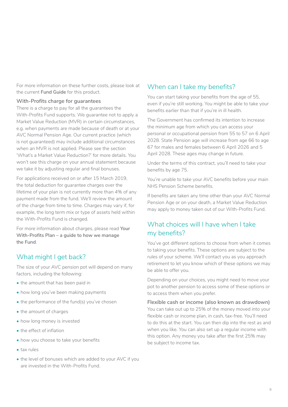<span id="page-8-0"></span>For more information on these further costs, please look at the current **Fund Guide** for this product.

#### **With-Profits charge for guarantees**

There is a charge to pay for all the guarantees the With-Profits Fund supports. We guarantee not to apply a Market Value Reduction (MVR) in certain circumstances, e.g. when payments are made because of death or at your AVC Normal Pension Age. Our current practice (which is not guaranteed) may include additional circumstances when an MVR is not applied. Please see the section 'What's a Market Value Reduction?' for more details. You won't see this charge on your annual statement because we take it by adjusting regular and final bonuses.

For applications received on or after 15 March 2019, the total deduction for guarantee charges over the lifetime of your plan is not currently more than 4% of any payment made from the fund. We'll review the amount of the charge from time to time. Charges may vary if, for example, the long term mix or type of assets held within the With-Profits Fund is changed.

For more information about charges, please read **Your With-Profits Plan – a guide to how we manage the Fund**.

# What might I get back?

The size of your AVC pension pot will depend on many factors, including the following:

- the amount that has been paid in
- how long you've been making payments
- the performance of the fund(s) you've chosen
- the amount of charges
- how long money is invested
- the effect of inflation
- how you choose to take your benefits
- tax rules
- the level of bonuses which are added to your AVC if you are invested in the With-Profits Fund.

# When can I take my benefits?

You can start taking your benefits from the age of 55, even if you're still working. You might be able to take your benefits earlier than that if you're in ill health.

The Government has confirmed its intention to increase the minimum age from which you can access your personal or occupational pension from 55 to 57 on 6 April 2028. State Pension age will increase from age 66 to age 67 for males and females between 6 April 2026 and 5 April 2028. These ages may change in future.

Under the terms of this contract, you'll need to take your benefits by age 75.

You're unable to take your AVC benefits before your main NHS Pension Scheme benefits.

If benefits are taken any time other than your AVC Normal Pension Age or on your death, a Market Value Reduction may apply to money taken out of our With-Profits Fund.

# What choices will I have when I take my benefits?

You've got different options to choose from when it comes to taking your benefits. These options are subject to the rules of your scheme. We'll contact you as you approach retirement to let you know which of these options we may be able to offer you.

Depending on your choices, you might need to move your pot to another pension to access some of these options or to access them when you prefer.

**Flexible cash or income (also known as drawdown)** You can take out up to 25% of the money moved into your flexible cash or income plan, in cash, tax-free. You'll need to do this at the start. You can then dip into the rest as and when you like. You can also set up a regular income with this option. Any money you take after the first 25% may be subject to income tax.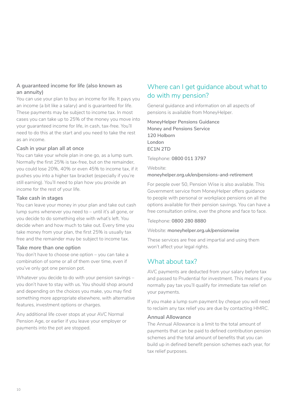#### <span id="page-9-0"></span>**A guaranteed income for life (also known as an annuity)**

You can use your plan to buy an income for life. It pays you an income (a bit like a salary) and is guaranteed for life. These payments may be subject to income tax. In most cases you can take up to 25% of the money you move into your guaranteed income for life, in cash, tax-free. You'll need to do this at the start and you need to take the rest as an income.

#### **Cash in your plan all at once**

You can take your whole plan in one go, as a lump sum. Normally the first 25% is tax-free, but on the remainder, you could lose 20%, 40% or even 45% to income tax, if it pushes you into a higher tax bracket (especially if you're still earning). You'll need to plan how you provide an income for the rest of your life.

#### **Take cash in stages**

You can leave your money in your plan and take out cash lump sums whenever you need to – until it's all gone, or you decide to do something else with what's left. You decide when and how much to take out. Every time you take money from your plan, the first 25% is usually tax free and the remainder may be subject to income tax.

#### **Take more than one option**

You don't have to choose one option – you can take a combination of some or all of them over time, even if you've only got one pension pot.

Whatever you decide to do with your pension savings – you don't have to stay with us. You should shop around and depending on the choices you make, you may find something more appropriate elsewhere, with alternative features, investment options or charges.

Any additional life cover stops at your AVC Normal Pension Age, or earlier if you leave your employer or payments into the pot are stopped.

# Where can I get guidance about what to do with my pension?

General guidance and information on all aspects of pensions is available from MoneyHelper.

**MoneyHelper Pensions Guidance Money and Pensions Service 120 Holborn London EC1N 2TD**

Telephone: **0800 011 3797**

Website: **[moneyhelper.org.uk/en/pensions-and-retirement](https://www.moneyhelper.org.uk/en/pensions-and-retirement)**

For people over 50, Pension Wise is also available. This Government service from MoneyHelper offers guidance to people with personal or workplace pensions on all the options available for their pension savings. You can have a free consultation online, over the phone and face to face.

Telephone: **0800 280 8880**

#### Website: **[moneyhelper.org.uk/pensionwise](https://www.moneyhelper.org.uk/pensionwise)**

These services are free and impartial and using them won't affect your legal rights.

# What about tax?

AVC payments are deducted from your salary before tax and passed to Prudential for investment. This means if you normally pay tax you'll qualify for immediate tax relief on your payments.

If you make a lump sum payment by cheque you will need to reclaim any tax relief you are due by contacting HMRC.

#### **Annual Allowance**

The Annual Allowance is a limit to the total amount of payments that can be paid to defined contribution pension schemes and the total amount of benefits that you can build up in defined benefit pension schemes each year, for tax relief purposes.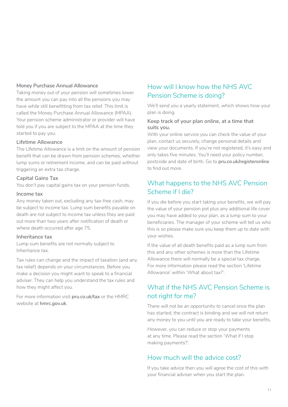#### <span id="page-10-0"></span>**Money Purchase Annual Allowance**

Taking money out of your pension will sometimes lower the amount you can pay into all the pensions you may have while still benefitting from tax relief. This limit is called the Money Purchase Annual Allowance (MPAA). Your pension scheme administrator or provider will have told you if you are subject to the MPAA at the time they started to pay you.

#### **Lifetime Allowance**

The Lifetime Allowance is a limit on the amount of pension benefit that can be drawn from pension schemes, whether lump sums or retirement income, and can be paid without triggering an extra tax charge.

#### **Capital Gains Tax**

You don't pay capital gains tax on your pension funds.

#### **Income tax**

Any money taken out, excluding any tax-free cash, may be subject to income tax. Lump sum benefits payable on death are not subject to income tax unless they are paid out more than two years after notification of death or where death occurred after age 75.

#### **Inheritance tax**

Lump sum benefits are not normally subject to Inheritance tax.

Tax rules can change and the impact of taxation (and any tax relief) depends on your circumstances. Before you make a decision you might want to speak to a financial adviser. They can help you understand the tax rules and how they might affect you.

For more information visit **[pru.co.uk/tax](https://www.pru.co.uk/)** or the HMRC website at **[hmrc.gov.uk](https://www.hmrc.gov.uk)**.

# How will I know how the NHS AVC Pension Scheme is doing?

We'll send you a yearly statement, which shows how your plan is doing.

#### **Keep track of your plan online, at a time that suits you.**

With your online service you can check the value of your plan, contact us securely, change personal details and view your documents. If you're not registered, it's easy and only takes five minutes. You'll need your policy number, postcode and date of birth. Go to **[pru.co.uk/registeronline](https://www.pru.co.uk/registeronline)** to find out more.

# What happens to the NHS AVC Pension Scheme if I die?

If you die before you start taking your benefits, we will pay the value of your pension pot plus any additional life cover you may have added to your plan, as a lump sum to your beneficiaries. The manager of your scheme will tell us who this is so please make sure you keep them up to date with your wishes.

If the value of all death benefits paid as a lump sum from this and any other schemes is more than the Lifetime Allowance there will normally be a special tax charge. For more information please read the section 'Lifetime Allowance' within 'What about tax?'.

# What if the NHS AVC Pension Scheme is not right for me?

There will not be an opportunity to cancel once the plan has started, the contract is binding and we will not return any money to you until you are ready to take your benefits.

However, you can reduce or stop your payments at any time. Please read the section 'What if I stop making payments?'.

### How much will the advice cost?

If you take advice then you will agree the cost of this with your financial adviser when you start the plan.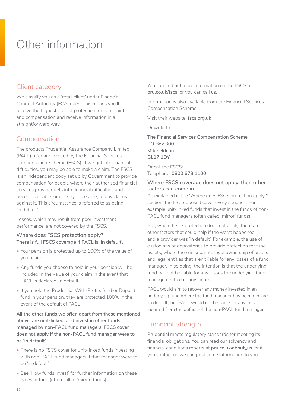# <span id="page-11-0"></span>Other information

# Client category

We classify you as a 'retail client' under Financial Conduct Authority (FCA) rules. This means you'll receive the highest level of protection for complaints and compensation and receive information in a straightforward way.

# Compensation

The products Prudential Assurance Company Limited (PACL) offer are covered by the Financial Services Compensation Scheme (FSCS). If we get into financial difficulties, you may be able to make a claim. The FSCS is an independent body set up by Government to provide compensation for people where their authorised financial services provider gets into financial difficulties and becomes unable, or unlikely to be able, to pay claims against it. This circumstance is referred to as being 'in default'.

Losses, which may result from poor investment performance, are not covered by the FSCS.

#### **Where does FSCS protection apply? There is full FSCS coverage if PACL is 'in default'.**

- Your pension is protected up to 100% of the value of your claim.
- Any funds you choose to hold in your pension will be included in the value of your claim in the event that PACL is declared 'in default'.
- If you hold the Prudential With-Profits fund or Deposit fund in your pension, they are protected 100% in the event of the default of PACL

**All the other funds we offer, apart from those mentioned above, are unit-linked, and invest in other funds managed by non-PACL fund managers. FSCS cover does not apply if the non-PACL fund manager were to be 'in default'.** 

- There is no FSCS cover for unit-linked funds investing with non-PACL fund managers if that manager were to be 'in default'.
- See 'How funds invest' for further information on these types of fund (often called 'mirror' funds).

You can find out more information on the FSCS at **[pru.co.uk/fscs](https://www.pru.co.uk/fscs/)**, or you can call us.

Information is also available from the Financial Services Compensation Scheme.

Visit their website: **[fscs.org.uk](https://www.fscs.org.uk/)**

Or write to:

**The Financial Services Compensation Scheme PO Box 300 Mitcheldean GL17 1DY** 

Or call the FSCS: Telephone: **0800 678 1100** 

#### **Where FSCS coverage does not apply, then other factors can come in**

As explained in the 'Where does FSCS protection apply?' section, the FSCS doesn't cover every situation. For example unit-linked funds that invest in the funds of non-PACL fund managers (often called 'mirror' funds).

But, where FSCS protection does not apply, there are other factors that could help if the worst happened and a provider was 'in default'. For example, the use of custodians or depositories to provide protection for fund assets, where there is separate legal ownership of assets and legal entities that aren't liable for any losses of a fund manager. In so doing, the intention is that the underlying fund will not be liable for any losses the underlying fund management company incurs.

PACL would aim to recover any money invested in an underlying fund where the fund manager has been declared 'in default', but PACL would not be liable for any loss incurred from the default of the non-PACL fund manager.

# Financial Strength

Prudential meets regulatory standards for meeting its financial obligations. You can read our solvency and financial conditions reports at **[pru.co.uk/about\\_us](http://www.pru.co.uk/about_us)**, or if you contact us we can post some information to you.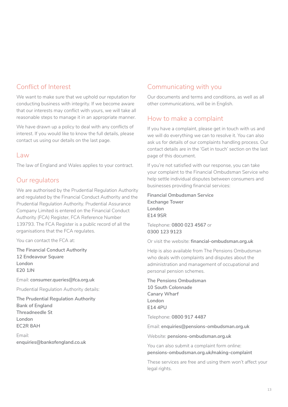# Conflict of Interest

We want to make sure that we uphold our reputation for conducting business with integrity. If we become aware that our interests may conflict with yours, we will take all reasonable steps to manage it in an appropriate manner.

We have drawn up a policy to deal with any conflicts of interest. If you would like to know the full details, please contact us using our details on the last page.

### Law

The law of England and Wales applies to your contract.

# Our regulators

We are authorised by the Prudential Regulation Authority and regulated by the Financial Conduct Authority and the Prudential Regulation Authority. Prudential Assurance Company Limited is entered on the Financial Conduct Authority (FCA) Register, FCA Reference Number 139793. The FCA Register is a public record of all the organisations that the FCA regulates.

You can contact the FCA at:

**The Financial Conduct Authority 12 Endeavour Square London E20 1JN** 

Email: **consumer.queries@fca.org.uk** 

Prudential Regulation Authority details:

**The Prudential Regulation Authority Bank of England Threadneedle St London EC2R 8AH** 

Email: **enquiries@bankofengland.co.uk**

# Communicating with you

Our documents and terms and conditions, as well as all other communications, will be in English.

# How to make a complaint

If you have a complaint, please get in touch with us and we will do everything we can to resolve it. You can also ask us for details of our complaints handling process. Our contact details are in the 'Get in touch' section on the last page of this document.

If you're not satisfied with our response, you can take your complaint to the Financial Ombudsman Service who help settle individual disputes between consumers and businesses providing financial services:

**Financial Ombudsman Service Exchange Tower London E14 9SR**

Telephone: **0800 023 4567** or **0300 123 9123**

Or visit the website: **[financial-ombudsman.org.uk](https://www.financial-ombudsman.org.uk/)**

Help is also available from The Pensions Ombudsman who deals with complaints and disputes about the administration and management of occupational and personal pension schemes.

**The Pensions Ombudsman 10 South Colonnade Canary Wharf London E14 4PU**

Telephone: **0800 917 4487**

Email: **enquiries@pensions-ombudsman.org.uk** 

Website: **[pensions-ombudsman.org.uk](https://www.pensions-ombudsman.org.uk/)**

You can also submit a complaint form online: **pensions-ombudsman.org.uk/making-complaint**

These services are free and using them won't affect your legal rights.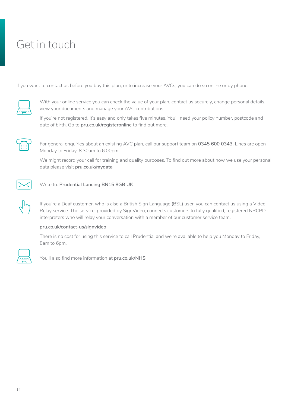# <span id="page-13-0"></span>Get in touch

If you want to contact us before you buy this plan, or to increase your AVCs, you can do so online or by phone.



With your online service you can check the value of your plan, contact us securely, change personal details, view your documents and manage your AVC contributions.

If you're not registered, it's easy and only takes five minutes. You'll need your policy number, postcode and date of birth. Go to **[pru.co.uk/registeronline](https://www.pru.co.uk/registeronline)** to find out more.



For general enquiries about an existing AVC plan, call our support team on **0345 600 0343**. Lines are open Monday to Friday, 8.30am to 6.00pm.

We might record your call for training and quality purposes. To find out more about how we use your personal data please visit **[pru.co.uk/mydata](http://www.pru.co.uk/mydata)**



 $\epsilon$ 

Write to: **Prudential Lancing BN15 8GB UK**

If you're a Deaf customer, who is also a British Sign Language (BSL) user, you can contact us using a Video Relay service. The service, provided by SignVideo, connects customers to fully qualified, registered NRCPD interpreters who will relay your conversation with a member of our customer service team.

#### **[pru.co.uk/contact-us/signvideo](https://www.pru.co.uk/contact-us/signvideo/)**

There is no cost for using this service to call Prudential and we're available to help you Monday to Friday, 8am to 6pm.



You'll also find more information at **[pru.co.uk/NHS](https://www.pru.co.uk/NHS)**